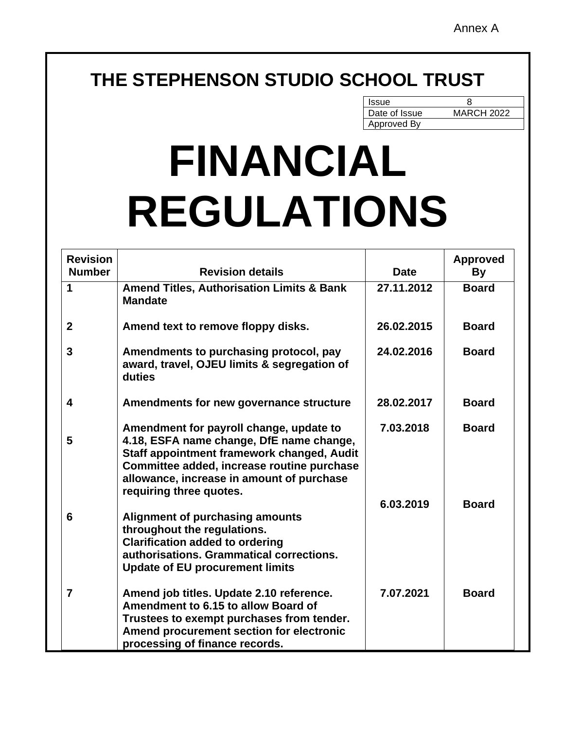# **THE STEPHENSON STUDIO SCHOOL TRUST**

| <b>Issue</b>  |                   |
|---------------|-------------------|
| Date of Issue | <b>MARCH 2022</b> |
| Approved By   |                   |

# **FINANCIAL REGULATIONS**

| <b>Revision</b><br><b>Number</b> | <b>Revision details</b>                                                                                                                                                                                                                                 | <b>Date</b> | <b>Approved</b><br>By |
|----------------------------------|---------------------------------------------------------------------------------------------------------------------------------------------------------------------------------------------------------------------------------------------------------|-------------|-----------------------|
| $\mathbf 1$                      | <b>Amend Titles, Authorisation Limits &amp; Bank</b><br><b>Mandate</b>                                                                                                                                                                                  | 27.11.2012  | <b>Board</b>          |
| $\mathbf{2}$                     | Amend text to remove floppy disks.                                                                                                                                                                                                                      | 26.02.2015  | <b>Board</b>          |
| $\mathbf{3}$                     | Amendments to purchasing protocol, pay<br>award, travel, OJEU limits & segregation of<br>duties                                                                                                                                                         | 24.02.2016  | <b>Board</b>          |
| 4                                | Amendments for new governance structure                                                                                                                                                                                                                 | 28.02.2017  | <b>Board</b>          |
| 5                                | Amendment for payroll change, update to<br>4.18, ESFA name change, DfE name change,<br>Staff appointment framework changed, Audit<br>Committee added, increase routine purchase<br>allowance, increase in amount of purchase<br>requiring three quotes. | 7.03.2018   | <b>Board</b>          |
| 6                                | <b>Alignment of purchasing amounts</b><br>throughout the regulations.<br><b>Clarification added to ordering</b><br>authorisations. Grammatical corrections.<br><b>Update of EU procurement limits</b>                                                   | 6.03.2019   | <b>Board</b>          |
| $\overline{7}$                   | Amend job titles. Update 2.10 reference.<br>Amendment to 6.15 to allow Board of<br>Trustees to exempt purchases from tender.<br>Amend procurement section for electronic<br>processing of finance records.                                              | 7.07.2021   | <b>Board</b>          |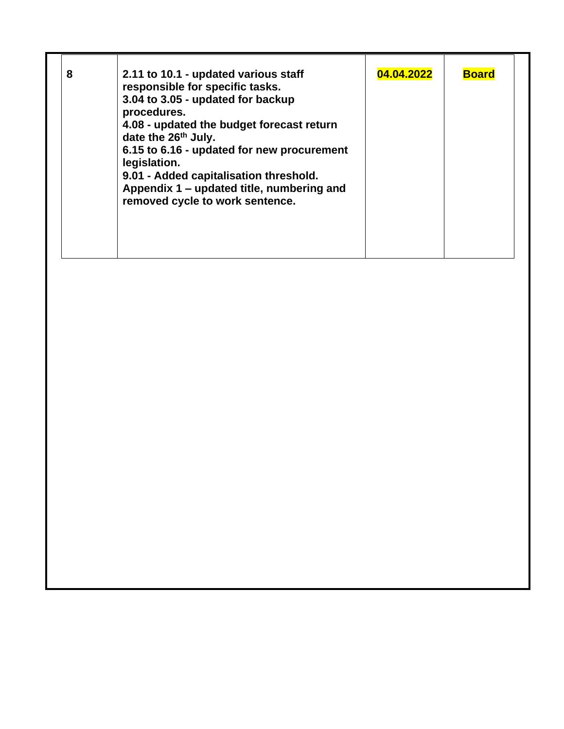| 8<br>2.11 to 10.1 - updated various staff<br>responsible for specific tasks.<br>3.04 to 3.05 - updated for backup<br>procedures.<br>4.08 - updated the budget forecast return<br>date the 26 <sup>th</sup> July.<br>6.15 to 6.16 - updated for new procurement<br>legislation.<br>9.01 - Added capitalisation threshold.<br>Appendix 1 – updated title, numbering and<br>removed cycle to work sentence. | 04.04.2022 | <b>Board</b> |
|----------------------------------------------------------------------------------------------------------------------------------------------------------------------------------------------------------------------------------------------------------------------------------------------------------------------------------------------------------------------------------------------------------|------------|--------------|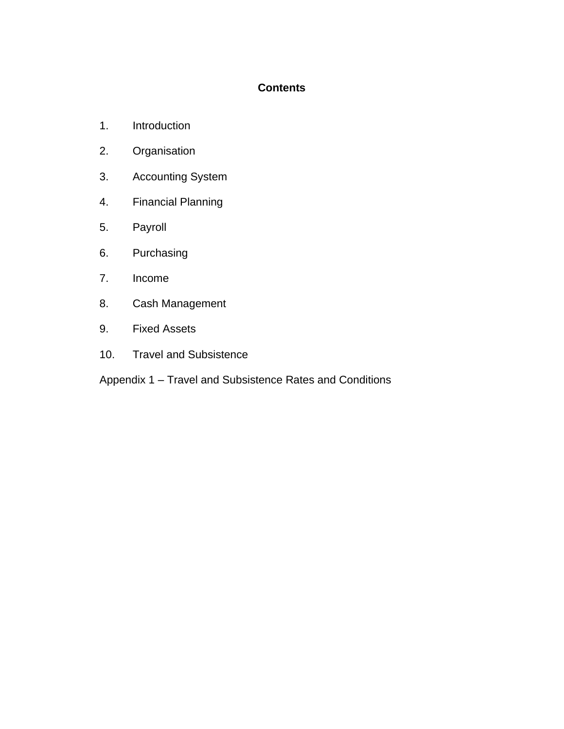# **Contents**

- 1. Introduction
- 2. Organisation
- 3. Accounting System
- 4. Financial Planning
- 5. Payroll
- 6. Purchasing
- 7. Income
- 8. Cash Management
- 9. Fixed Assets
- 10. Travel and Subsistence
- Appendix 1 Travel and Subsistence Rates and Conditions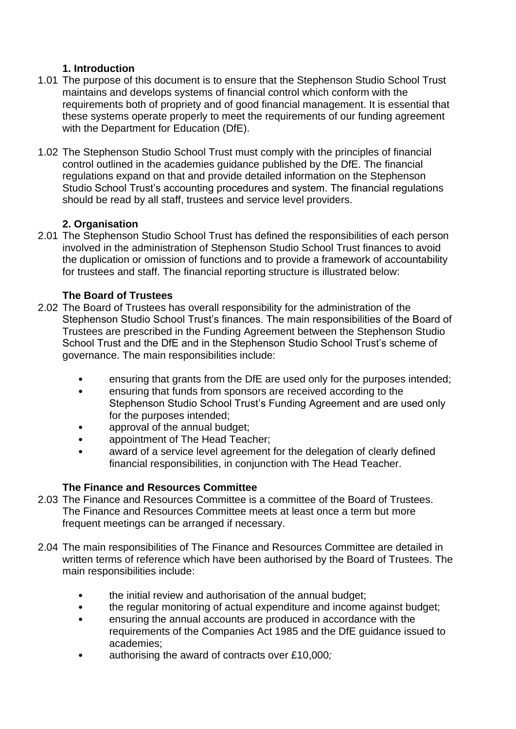# **1. Introduction**

- 1.01 The purpose of this document is to ensure that the Stephenson Studio School Trust maintains and develops systems of financial control which conform with the requirements both of propriety and of good financial management. It is essential that these systems operate properly to meet the requirements of our funding agreement with the Department for Education (DfE).
- 1.02 The Stephenson Studio School Trust must comply with the principles of financial control outlined in the academies guidance published by the DfE. The financial regulations expand on that and provide detailed information on the Stephenson Studio School Trust's accounting procedures and system. The financial regulations should be read by all staff, trustees and service level providers.

# **2. Organisation**

2.01 The Stephenson Studio School Trust has defined the responsibilities of each person involved in the administration of Stephenson Studio School Trust finances to avoid the duplication or omission of functions and to provide a framework of accountability for trustees and staff. The financial reporting structure is illustrated below:

# **The Board of Trustees**

- 2.02 The Board of Trustees has overall responsibility for the administration of the Stephenson Studio School Trust's finances. The main responsibilities of the Board of Trustees are prescribed in the Funding Agreement between the Stephenson Studio School Trust and the DfE and in the Stephenson Studio School Trust's scheme of governance. The main responsibilities include:
	- ensuring that grants from the DfE are used only for the purposes intended;
	- ensuring that funds from sponsors are received according to the Stephenson Studio School Trust's Funding Agreement and are used only for the purposes intended;
	- approval of the annual budget;
	- appointment of The Head Teacher;
	- award of a service level agreement for the delegation of clearly defined financial responsibilities, in conjunction with The Head Teacher.

# **The Finance and Resources Committee**

- 2.03 The Finance and Resources Committee is a committee of the Board of Trustees. The Finance and Resources Committee meets at least once a term but more frequent meetings can be arranged if necessary.
- 2.04 The main responsibilities of The Finance and Resources Committee are detailed in written terms of reference which have been authorised by the Board of Trustees. The main responsibilities include:
	- the initial review and authorisation of the annual budget:
	- the regular monitoring of actual expenditure and income against budget;
	- ensuring the annual accounts are produced in accordance with the requirements of the Companies Act 1985 and the DfE guidance issued to academies;
	- authorising the award of contracts over £10,000*;*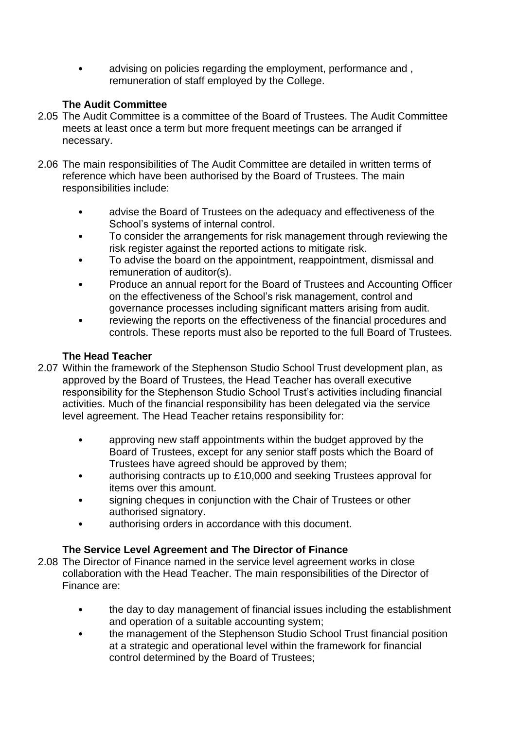• advising on policies regarding the employment, performance and , remuneration of staff employed by the College.

# **The Audit Committee**

- 2.05 The Audit Committee is a committee of the Board of Trustees. The Audit Committee meets at least once a term but more frequent meetings can be arranged if necessary.
- 2.06 The main responsibilities of The Audit Committee are detailed in written terms of reference which have been authorised by the Board of Trustees. The main responsibilities include:
	- advise the Board of Trustees on the adequacy and effectiveness of the School's systems of internal control.
	- To consider the arrangements for risk management through reviewing the risk register against the reported actions to mitigate risk.
	- To advise the board on the appointment, reappointment, dismissal and remuneration of auditor(s).
	- Produce an annual report for the Board of Trustees and Accounting Officer on the effectiveness of the School's risk management, control and governance processes including significant matters arising from audit.
	- reviewing the reports on the effectiveness of the financial procedures and controls. These reports must also be reported to the full Board of Trustees.

# **The Head Teacher**

- 2.07 Within the framework of the Stephenson Studio School Trust development plan, as approved by the Board of Trustees, the Head Teacher has overall executive responsibility for the Stephenson Studio School Trust's activities including financial activities. Much of the financial responsibility has been delegated via the service level agreement. The Head Teacher retains responsibility for:
	- approving new staff appointments within the budget approved by the Board of Trustees, except for any senior staff posts which the Board of Trustees have agreed should be approved by them;
	- authorising contracts up to £10,000 and seeking Trustees approval for items over this amount.
	- signing cheques in conjunction with the Chair of Trustees or other authorised signatory.
	- authorising orders in accordance with this document.

# **The Service Level Agreement and The Director of Finance**

- 2.08 The Director of Finance named in the service level agreement works in close collaboration with the Head Teacher. The main responsibilities of the Director of Finance are:
	- the day to day management of financial issues including the establishment and operation of a suitable accounting system;
	- the management of the Stephenson Studio School Trust financial position at a strategic and operational level within the framework for financial control determined by the Board of Trustees;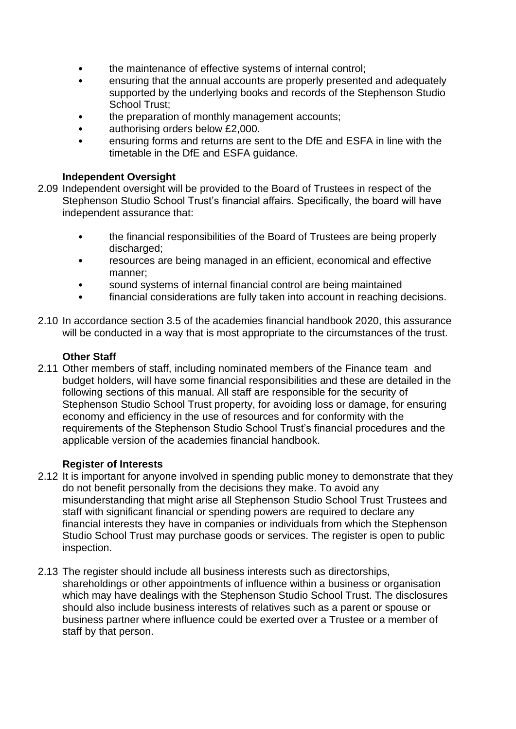- the maintenance of effective systems of internal control;
- ensuring that the annual accounts are properly presented and adequately supported by the underlying books and records of the Stephenson Studio School Trust;
- the preparation of monthly management accounts;
- authorising orders below £2,000.
- ensuring forms and returns are sent to the DfE and ESFA in line with the timetable in the DfE and ESFA guidance.

#### **Independent Oversight**

- 2.09 Independent oversight will be provided to the Board of Trustees in respect of the Stephenson Studio School Trust's financial affairs. Specifically, the board will have independent assurance that:
	- the financial responsibilities of the Board of Trustees are being properly discharged:
	- resources are being managed in an efficient, economical and effective manner;
	- sound systems of internal financial control are being maintained
	- financial considerations are fully taken into account in reaching decisions.
- 2.10 In accordance section 3.5 of the academies financial handbook 2020, this assurance will be conducted in a way that is most appropriate to the circumstances of the trust.

#### **Other Staff**

2.11 Other members of staff, including nominated members of the Finance team and budget holders, will have some financial responsibilities and these are detailed in the following sections of this manual. All staff are responsible for the security of Stephenson Studio School Trust property, for avoiding loss or damage, for ensuring economy and efficiency in the use of resources and for conformity with the requirements of the Stephenson Studio School Trust's financial procedures and the applicable version of the academies financial handbook.

#### **Register of Interests**

- 2.12 It is important for anyone involved in spending public money to demonstrate that they do not benefit personally from the decisions they make. To avoid any misunderstanding that might arise all Stephenson Studio School Trust Trustees and staff with significant financial or spending powers are required to declare any financial interests they have in companies or individuals from which the Stephenson Studio School Trust may purchase goods or services. The register is open to public inspection.
- 2.13 The register should include all business interests such as directorships, shareholdings or other appointments of influence within a business or organisation which may have dealings with the Stephenson Studio School Trust. The disclosures should also include business interests of relatives such as a parent or spouse or business partner where influence could be exerted over a Trustee or a member of staff by that person.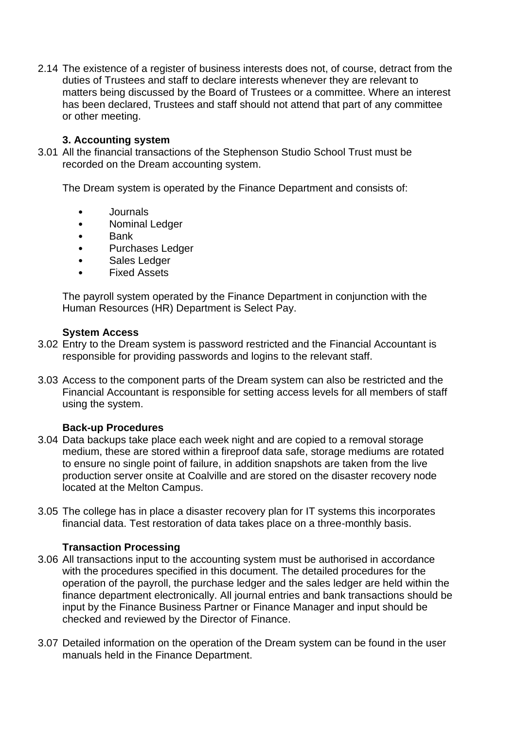2.14 The existence of a register of business interests does not, of course, detract from the duties of Trustees and staff to declare interests whenever they are relevant to matters being discussed by the Board of Trustees or a committee. Where an interest has been declared, Trustees and staff should not attend that part of any committee or other meeting.

#### **3. Accounting system**

3.01 All the financial transactions of the Stephenson Studio School Trust must be recorded on the Dream accounting system.

The Dream system is operated by the Finance Department and consists of:

- Journals
- Nominal Ledger
- Bank
- Purchases Ledger
- Sales Ledger
- Fixed Assets

The payroll system operated by the Finance Department in conjunction with the Human Resources (HR) Department is Select Pay.

#### **System Access**

- 3.02 Entry to the Dream system is password restricted and the Financial Accountant is responsible for providing passwords and logins to the relevant staff.
- 3.03 Access to the component parts of the Dream system can also be restricted and the Financial Accountant is responsible for setting access levels for all members of staff using the system.

# **Back-up Procedures**

- 3.04 Data backups take place each week night and are copied to a removal storage medium, these are stored within a fireproof data safe, storage mediums are rotated to ensure no single point of failure, in addition snapshots are taken from the live production server onsite at Coalville and are stored on the disaster recovery node located at the Melton Campus.
- 3.05 The college has in place a disaster recovery plan for IT systems this incorporates financial data. Test restoration of data takes place on a three-monthly basis.

# **Transaction Processing**

- 3.06 All transactions input to the accounting system must be authorised in accordance with the procedures specified in this document. The detailed procedures for the operation of the payroll, the purchase ledger and the sales ledger are held within the finance department electronically. All journal entries and bank transactions should be input by the Finance Business Partner or Finance Manager and input should be checked and reviewed by the Director of Finance.
- 3.07 Detailed information on the operation of the Dream system can be found in the user manuals held in the Finance Department.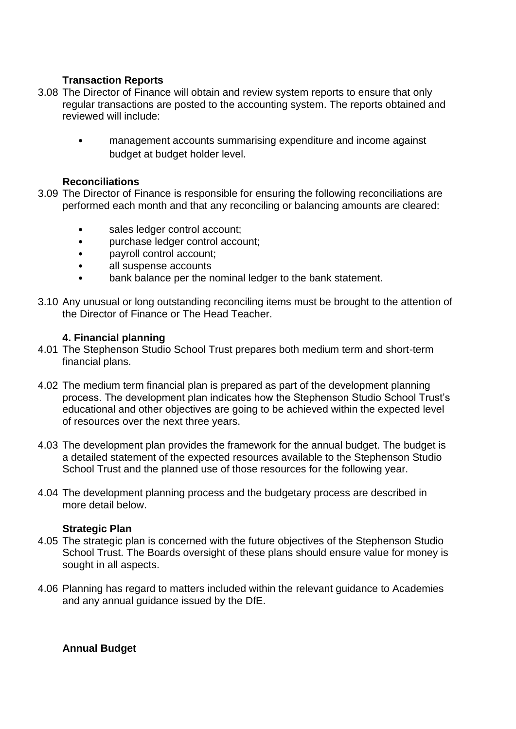# **Transaction Reports**

- 3.08 The Director of Finance will obtain and review system reports to ensure that only regular transactions are posted to the accounting system. The reports obtained and reviewed will include:
	- management accounts summarising expenditure and income against budget at budget holder level.

#### **Reconciliations**

- 3.09 The Director of Finance is responsible for ensuring the following reconciliations are performed each month and that any reconciling or balancing amounts are cleared:
	- sales ledger control account;
	- purchase ledger control account;
	- payroll control account;
	- all suspense accounts
	- bank balance per the nominal ledger to the bank statement.
- 3.10 Any unusual or long outstanding reconciling items must be brought to the attention of the Director of Finance or The Head Teacher.

#### **4. Financial planning**

- 4.01 The Stephenson Studio School Trust prepares both medium term and short-term financial plans.
- 4.02 The medium term financial plan is prepared as part of the development planning process. The development plan indicates how the Stephenson Studio School Trust's educational and other objectives are going to be achieved within the expected level of resources over the next three years.
- 4.03 The development plan provides the framework for the annual budget. The budget is a detailed statement of the expected resources available to the Stephenson Studio School Trust and the planned use of those resources for the following year.
- 4.04 The development planning process and the budgetary process are described in more detail below.

#### **Strategic Plan**

- 4.05 The strategic plan is concerned with the future objectives of the Stephenson Studio School Trust. The Boards oversight of these plans should ensure value for money is sought in all aspects.
- 4.06 Planning has regard to matters included within the relevant guidance to Academies and any annual guidance issued by the DfE.

#### **Annual Budget**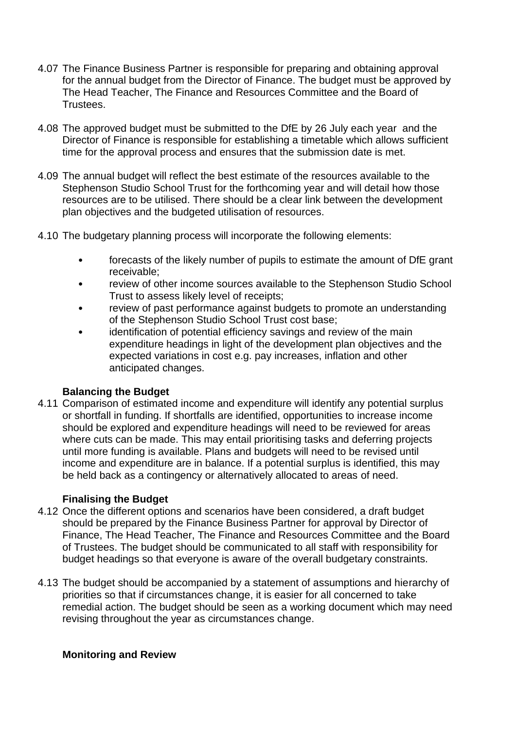- 4.07 The Finance Business Partner is responsible for preparing and obtaining approval for the annual budget from the Director of Finance. The budget must be approved by The Head Teacher, The Finance and Resources Committee and the Board of **Trustees**
- 4.08 The approved budget must be submitted to the DfE by 26 July each year and the Director of Finance is responsible for establishing a timetable which allows sufficient time for the approval process and ensures that the submission date is met.
- 4.09 The annual budget will reflect the best estimate of the resources available to the Stephenson Studio School Trust for the forthcoming year and will detail how those resources are to be utilised. There should be a clear link between the development plan objectives and the budgeted utilisation of resources.
- 4.10 The budgetary planning process will incorporate the following elements:
	- forecasts of the likely number of pupils to estimate the amount of DfE grant receivable;
	- review of other income sources available to the Stephenson Studio School Trust to assess likely level of receipts;
	- review of past performance against budgets to promote an understanding of the Stephenson Studio School Trust cost base;
	- identification of potential efficiency savings and review of the main expenditure headings in light of the development plan objectives and the expected variations in cost e.g. pay increases, inflation and other anticipated changes.

#### **Balancing the Budget**

4.11 Comparison of estimated income and expenditure will identify any potential surplus or shortfall in funding. If shortfalls are identified, opportunities to increase income should be explored and expenditure headings will need to be reviewed for areas where cuts can be made. This may entail prioritising tasks and deferring projects until more funding is available. Plans and budgets will need to be revised until income and expenditure are in balance. If a potential surplus is identified, this may be held back as a contingency or alternatively allocated to areas of need.

#### **Finalising the Budget**

- 4.12 Once the different options and scenarios have been considered, a draft budget should be prepared by the Finance Business Partner for approval by Director of Finance, The Head Teacher, The Finance and Resources Committee and the Board of Trustees. The budget should be communicated to all staff with responsibility for budget headings so that everyone is aware of the overall budgetary constraints.
- 4.13 The budget should be accompanied by a statement of assumptions and hierarchy of priorities so that if circumstances change, it is easier for all concerned to take remedial action. The budget should be seen as a working document which may need revising throughout the year as circumstances change.

#### **Monitoring and Review**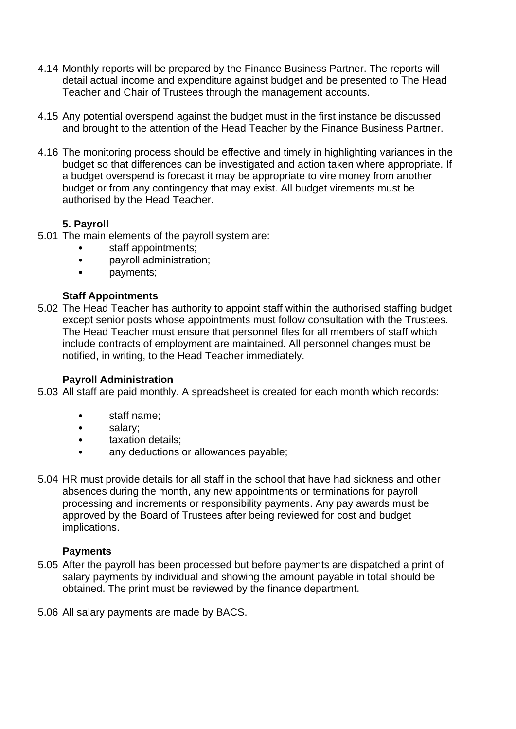- 4.14 Monthly reports will be prepared by the Finance Business Partner. The reports will detail actual income and expenditure against budget and be presented to The Head Teacher and Chair of Trustees through the management accounts.
- 4.15 Any potential overspend against the budget must in the first instance be discussed and brought to the attention of the Head Teacher by the Finance Business Partner.
- 4.16 The monitoring process should be effective and timely in highlighting variances in the budget so that differences can be investigated and action taken where appropriate. If a budget overspend is forecast it may be appropriate to vire money from another budget or from any contingency that may exist. All budget virements must be authorised by the Head Teacher.

# **5. Payroll**

- 5.01 The main elements of the payroll system are:
	- staff appointments;
	- payroll administration;
	- payments;

# **Staff Appointments**

5.02 The Head Teacher has authority to appoint staff within the authorised staffing budget except senior posts whose appointments must follow consultation with the Trustees. The Head Teacher must ensure that personnel files for all members of staff which include contracts of employment are maintained. All personnel changes must be notified, in writing, to the Head Teacher immediately.

#### **Payroll Administration**

5.03 All staff are paid monthly. A spreadsheet is created for each month which records:

- staff name;
- salary;
- taxation details;
- any deductions or allowances payable;
- 5.04 HR must provide details for all staff in the school that have had sickness and other absences during the month, any new appointments or terminations for payroll processing and increments or responsibility payments. Any pay awards must be approved by the Board of Trustees after being reviewed for cost and budget implications.

#### **Payments**

- 5.05 After the payroll has been processed but before payments are dispatched a print of salary payments by individual and showing the amount payable in total should be obtained. The print must be reviewed by the finance department.
- 5.06 All salary payments are made by BACS.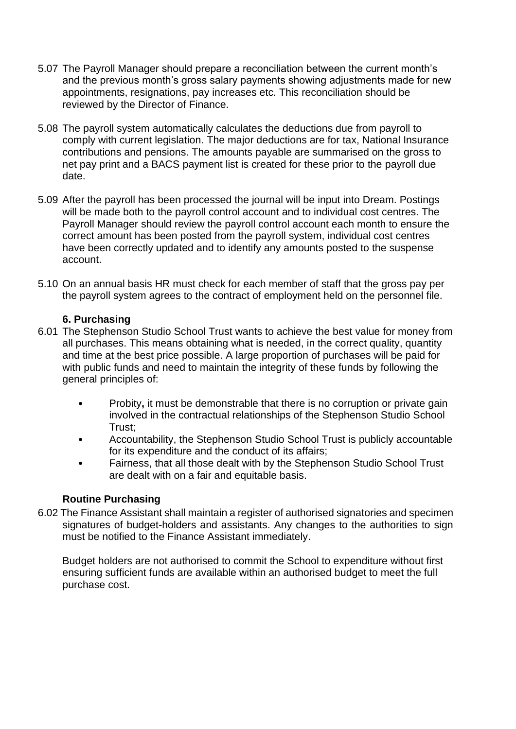- 5.07 The Payroll Manager should prepare a reconciliation between the current month's and the previous month's gross salary payments showing adjustments made for new appointments, resignations, pay increases etc. This reconciliation should be reviewed by the Director of Finance.
- 5.08 The payroll system automatically calculates the deductions due from payroll to comply with current legislation. The major deductions are for tax, National Insurance contributions and pensions. The amounts payable are summarised on the gross to net pay print and a BACS payment list is created for these prior to the payroll due date.
- 5.09 After the payroll has been processed the journal will be input into Dream. Postings will be made both to the payroll control account and to individual cost centres. The Payroll Manager should review the payroll control account each month to ensure the correct amount has been posted from the payroll system, individual cost centres have been correctly updated and to identify any amounts posted to the suspense account.
- 5.10 On an annual basis HR must check for each member of staff that the gross pay per the payroll system agrees to the contract of employment held on the personnel file.

#### **6. Purchasing**

- 6.01 The Stephenson Studio School Trust wants to achieve the best value for money from all purchases. This means obtaining what is needed, in the correct quality, quantity and time at the best price possible. A large proportion of purchases will be paid for with public funds and need to maintain the integrity of these funds by following the general principles of:
	- Probity, it must be demonstrable that there is no corruption or private gain involved in the contractual relationships of the Stephenson Studio School Trust;
	- Accountability, the Stephenson Studio School Trust is publicly accountable for its expenditure and the conduct of its affairs;
	- Fairness, that all those dealt with by the Stephenson Studio School Trust are dealt with on a fair and equitable basis.

# **Routine Purchasing**

6.02 The Finance Assistant shall maintain a register of authorised signatories and specimen signatures of budget-holders and assistants. Any changes to the authorities to sign must be notified to the Finance Assistant immediately.

Budget holders are not authorised to commit the School to expenditure without first ensuring sufficient funds are available within an authorised budget to meet the full purchase cost.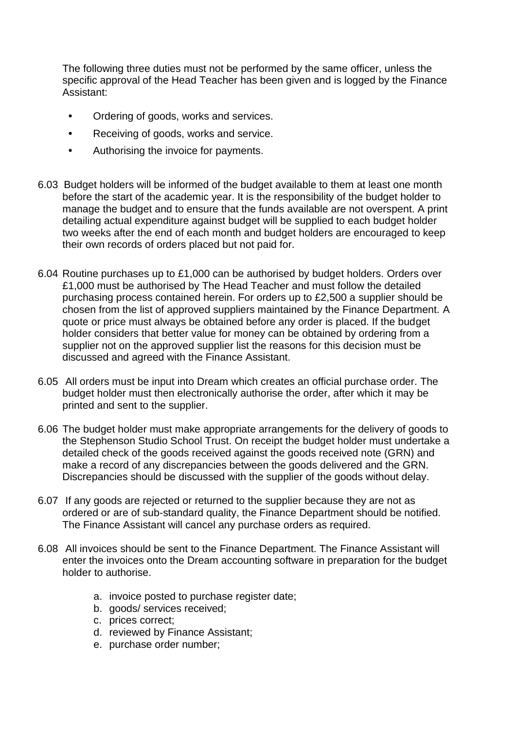The following three duties must not be performed by the same officer, unless the specific approval of the Head Teacher has been given and is logged by the Finance Assistant:

- **•** Ordering of goods, works and services.
- **•** Receiving of goods, works and service.
- **•** Authorising the invoice for payments.
- 6.03 Budget holders will be informed of the budget available to them at least one month before the start of the academic year. It is the responsibility of the budget holder to manage the budget and to ensure that the funds available are not overspent. A print detailing actual expenditure against budget will be supplied to each budget holder two weeks after the end of each month and budget holders are encouraged to keep their own records of orders placed but not paid for.
- 6.04 Routine purchases up to £1,000 can be authorised by budget holders. Orders over £1,000 must be authorised by The Head Teacher and must follow the detailed purchasing process contained herein. For orders up to £2,500 a supplier should be chosen from the list of approved suppliers maintained by the Finance Department. A quote or price must always be obtained before any order is placed. If the budget holder considers that better value for money can be obtained by ordering from a supplier not on the approved supplier list the reasons for this decision must be discussed and agreed with the Finance Assistant.
- 6.05 All orders must be input into Dream which creates an official purchase order. The budget holder must then electronically authorise the order, after which it may be printed and sent to the supplier.
- 6.06 The budget holder must make appropriate arrangements for the delivery of goods to the Stephenson Studio School Trust. On receipt the budget holder must undertake a detailed check of the goods received against the goods received note (GRN) and make a record of any discrepancies between the goods delivered and the GRN. Discrepancies should be discussed with the supplier of the goods without delay.
- 6.07 If any goods are rejected or returned to the supplier because they are not as ordered or are of sub-standard quality, the Finance Department should be notified. The Finance Assistant will cancel any purchase orders as required.
- 6.08 All invoices should be sent to the Finance Department. The Finance Assistant will enter the invoices onto the Dream accounting software in preparation for the budget holder to authorise.
	- a. invoice posted to purchase register date;
	- b. goods/ services received;
	- c. prices correct;
	- d. reviewed by Finance Assistant;
	- e. purchase order number;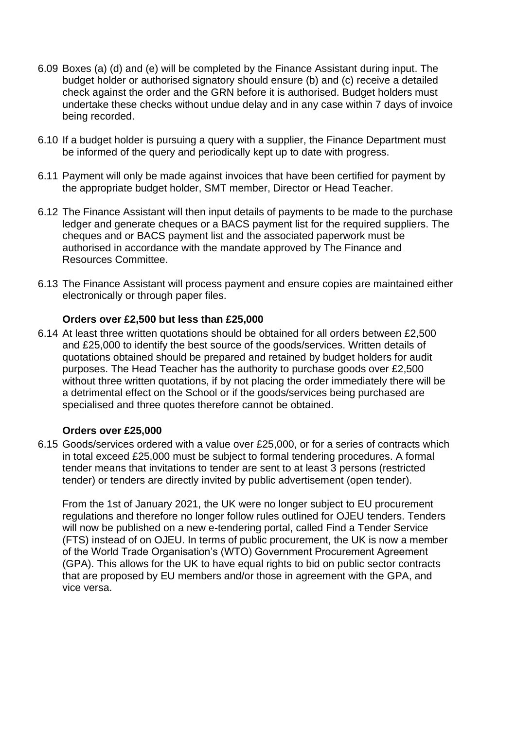- 6.09 Boxes (a) (d) and (e) will be completed by the Finance Assistant during input. The budget holder or authorised signatory should ensure (b) and (c) receive a detailed check against the order and the GRN before it is authorised. Budget holders must undertake these checks without undue delay and in any case within 7 days of invoice being recorded.
- 6.10 If a budget holder is pursuing a query with a supplier, the Finance Department must be informed of the query and periodically kept up to date with progress.
- 6.11 Payment will only be made against invoices that have been certified for payment by the appropriate budget holder, SMT member, Director or Head Teacher.
- 6.12 The Finance Assistant will then input details of payments to be made to the purchase ledger and generate cheques or a BACS payment list for the required suppliers. The cheques and or BACS payment list and the associated paperwork must be authorised in accordance with the mandate approved by The Finance and Resources Committee.
- 6.13 The Finance Assistant will process payment and ensure copies are maintained either electronically or through paper files.

#### **Orders over £2,500 but less than £25,000**

6.14 At least three written quotations should be obtained for all orders between £2,500 and £25,000 to identify the best source of the goods/services. Written details of quotations obtained should be prepared and retained by budget holders for audit purposes. The Head Teacher has the authority to purchase goods over £2,500 without three written quotations, if by not placing the order immediately there will be a detrimental effect on the School or if the goods/services being purchased are specialised and three quotes therefore cannot be obtained.

#### **Orders over £25,000**

6.15 Goods/services ordered with a value over £25,000, or for a series of contracts which in total exceed £25,000 must be subject to formal tendering procedures. A formal tender means that invitations to tender are sent to at least 3 persons (restricted tender) or tenders are directly invited by public advertisement (open tender).

From the 1st of January 2021, the UK were no longer subject to EU procurement regulations and therefore no longer follow rules outlined for OJEU tenders. Tenders will now be published on a new e-tendering portal, called Find a Tender Service (FTS) instead of on OJEU. In terms of public procurement, the UK is now a member of the World Trade Organisation's (WTO) Government Procurement Agreement (GPA). This allows for the UK to have equal rights to bid on public sector contracts that are proposed by EU members and/or those in agreement with the GPA, and vice versa.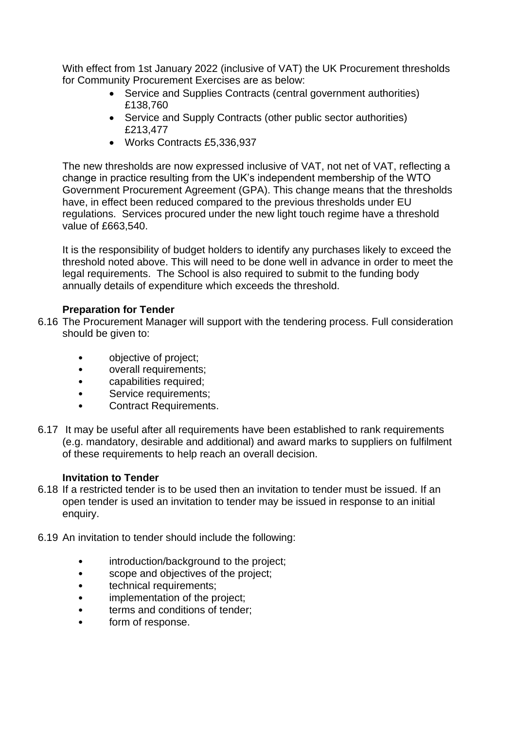With effect from 1st January 2022 (inclusive of VAT) the UK Procurement thresholds for Community Procurement Exercises are as below:

- Service and Supplies Contracts (central government authorities) £138,760
- Service and Supply Contracts (other public sector authorities) £213,477
- Works Contracts £5,336,937

The new thresholds are now expressed inclusive of VAT, not net of VAT, reflecting a change in practice resulting from the UK's independent membership of the WTO Government Procurement Agreement (GPA). This change means that the thresholds have, in effect been reduced compared to the previous thresholds under EU regulations. Services procured under the new light touch regime have a threshold value of £663,540.

It is the responsibility of budget holders to identify any purchases likely to exceed the threshold noted above. This will need to be done well in advance in order to meet the legal requirements. The School is also required to submit to the funding body annually details of expenditure which exceeds the threshold.

# **Preparation for Tender**

- 6.16 The Procurement Manager will support with the tendering process. Full consideration should be given to:
	- objective of project;
	- overall requirements;
	- capabilities required;
	- Service requirements;
	- Contract Requirements.
- 6.17 It may be useful after all requirements have been established to rank requirements (e.g. mandatory, desirable and additional) and award marks to suppliers on fulfilment of these requirements to help reach an overall decision.

# **Invitation to Tender**

- 6.18 If a restricted tender is to be used then an invitation to tender must be issued. If an open tender is used an invitation to tender may be issued in response to an initial enquiry.
- 6.19 An invitation to tender should include the following:
	- introduction/background to the project;
	- scope and objectives of the project;
	- technical requirements:
	- implementation of the project;
	- terms and conditions of tender;
	- form of response.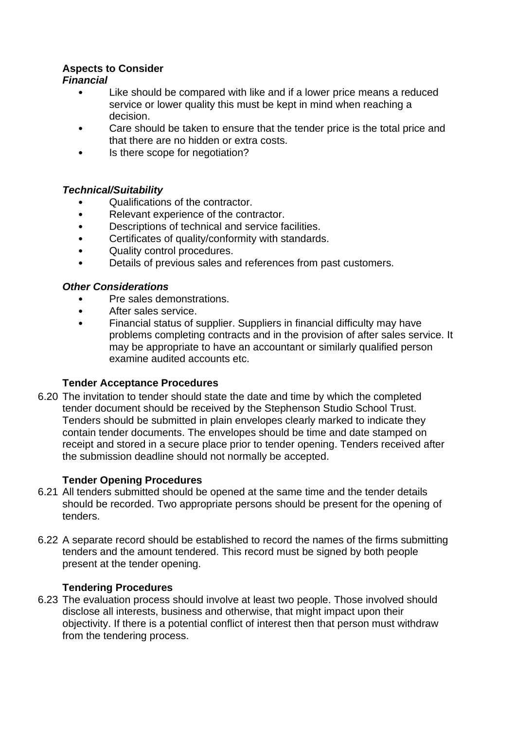# **Aspects to Consider**

# *Financial*

- Like should be compared with like and if a lower price means a reduced service or lower quality this must be kept in mind when reaching a decision.
- Care should be taken to ensure that the tender price is the total price and that there are no hidden or extra costs.
- Is there scope for negotiation?

# *Technical/Suitability*

- Qualifications of the contractor.
- Relevant experience of the contractor.
- Descriptions of technical and service facilities.
- Certificates of quality/conformity with standards.
- Quality control procedures.
- Details of previous sales and references from past customers.

# *Other Considerations*

- Pre sales demonstrations.
- After sales service.
- Financial status of supplier. Suppliers in financial difficulty may have problems completing contracts and in the provision of after sales service. It may be appropriate to have an accountant or similarly qualified person examine audited accounts etc.

# **Tender Acceptance Procedures**

6.20 The invitation to tender should state the date and time by which the completed tender document should be received by the Stephenson Studio School Trust. Tenders should be submitted in plain envelopes clearly marked to indicate they contain tender documents. The envelopes should be time and date stamped on receipt and stored in a secure place prior to tender opening. Tenders received after the submission deadline should not normally be accepted.

# **Tender Opening Procedures**

- 6.21 All tenders submitted should be opened at the same time and the tender details should be recorded. Two appropriate persons should be present for the opening of tenders.
- 6.22 A separate record should be established to record the names of the firms submitting tenders and the amount tendered. This record must be signed by both people present at the tender opening.

# **Tendering Procedures**

6.23 The evaluation process should involve at least two people. Those involved should disclose all interests, business and otherwise, that might impact upon their objectivity. If there is a potential conflict of interest then that person must withdraw from the tendering process.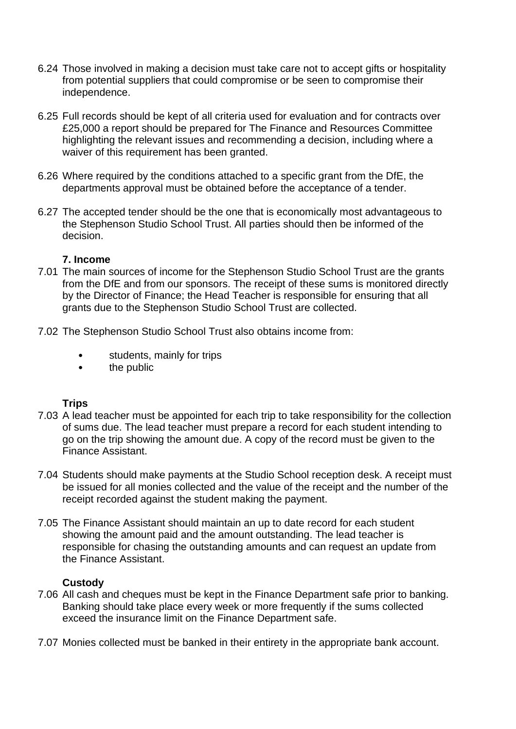- 6.24 Those involved in making a decision must take care not to accept gifts or hospitality from potential suppliers that could compromise or be seen to compromise their independence.
- 6.25 Full records should be kept of all criteria used for evaluation and for contracts over £25,000 a report should be prepared for The Finance and Resources Committee highlighting the relevant issues and recommending a decision, including where a waiver of this requirement has been granted.
- 6.26 Where required by the conditions attached to a specific grant from the DfE, the departments approval must be obtained before the acceptance of a tender.
- 6.27 The accepted tender should be the one that is economically most advantageous to the Stephenson Studio School Trust. All parties should then be informed of the decision.

#### **7. Income**

- 7.01 The main sources of income for the Stephenson Studio School Trust are the grants from the DfE and from our sponsors. The receipt of these sums is monitored directly by the Director of Finance; the Head Teacher is responsible for ensuring that all grants due to the Stephenson Studio School Trust are collected.
- 7.02 The Stephenson Studio School Trust also obtains income from:
	- students, mainly for trips
	- the public

# **Trips**

- 7.03 A lead teacher must be appointed for each trip to take responsibility for the collection of sums due. The lead teacher must prepare a record for each student intending to go on the trip showing the amount due. A copy of the record must be given to the Finance Assistant.
- 7.04 Students should make payments at the Studio School reception desk. A receipt must be issued for all monies collected and the value of the receipt and the number of the receipt recorded against the student making the payment.
- 7.05 The Finance Assistant should maintain an up to date record for each student showing the amount paid and the amount outstanding. The lead teacher is responsible for chasing the outstanding amounts and can request an update from the Finance Assistant.

# **Custody**

- 7.06 All cash and cheques must be kept in the Finance Department safe prior to banking. Banking should take place every week or more frequently if the sums collected exceed the insurance limit on the Finance Department safe.
- 7.07 Monies collected must be banked in their entirety in the appropriate bank account.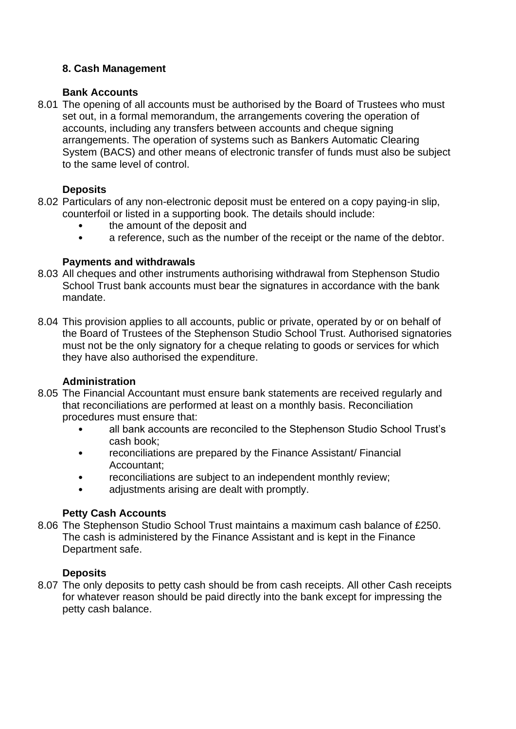# **8. Cash Management**

#### **Bank Accounts**

8.01 The opening of all accounts must be authorised by the Board of Trustees who must set out, in a formal memorandum, the arrangements covering the operation of accounts, including any transfers between accounts and cheque signing arrangements. The operation of systems such as Bankers Automatic Clearing System (BACS) and other means of electronic transfer of funds must also be subject to the same level of control.

# **Deposits**

- 8.02 Particulars of any non-electronic deposit must be entered on a copy paying-in slip, counterfoil or listed in a supporting book. The details should include:
	- the amount of the deposit and
	- a reference, such as the number of the receipt or the name of the debtor.

#### **Payments and withdrawals**

- 8.03 All cheques and other instruments authorising withdrawal from Stephenson Studio School Trust bank accounts must bear the signatures in accordance with the bank mandate.
- 8.04 This provision applies to all accounts, public or private, operated by or on behalf of the Board of Trustees of the Stephenson Studio School Trust. Authorised signatories must not be the only signatory for a cheque relating to goods or services for which they have also authorised the expenditure.

# **Administration**

- 8.05 The Financial Accountant must ensure bank statements are received regularly and that reconciliations are performed at least on a monthly basis. Reconciliation procedures must ensure that:
	- all bank accounts are reconciled to the Stephenson Studio School Trust's cash book;
	- reconciliations are prepared by the Finance Assistant/ Financial Accountant;
	- reconciliations are subject to an independent monthly review;
	- adjustments arising are dealt with promptly.

# **Petty Cash Accounts**

8.06 The Stephenson Studio School Trust maintains a maximum cash balance of £250. The cash is administered by the Finance Assistant and is kept in the Finance Department safe.

# **Deposits**

8.07 The only deposits to petty cash should be from cash receipts. All other Cash receipts for whatever reason should be paid directly into the bank except for impressing the petty cash balance.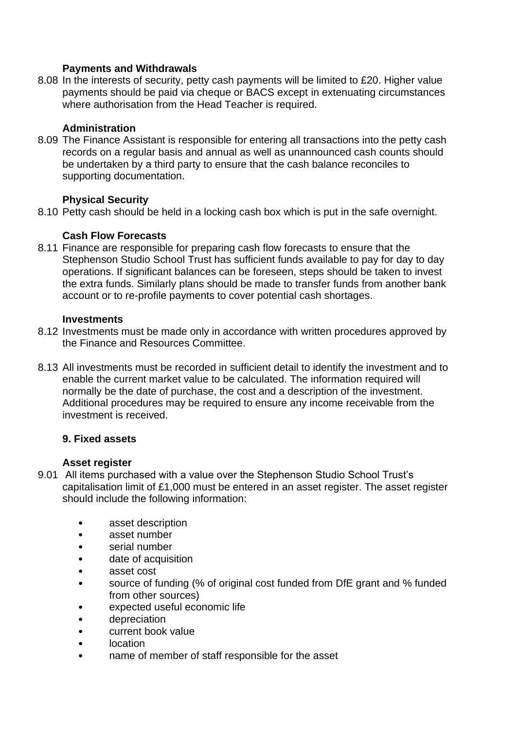# **Payments and Withdrawals**

8.08 In the interests of security, petty cash payments will be limited to £20. Higher value payments should be paid via cheque or BACS except in extenuating circumstances where authorisation from the Head Teacher is required.

#### **Administration**

8.09 The Finance Assistant is responsible for entering all transactions into the petty cash records on a regular basis and annual as well as unannounced cash counts should be undertaken by a third party to ensure that the cash balance reconciles to supporting documentation.

#### **Physical Security**

8.10 Petty cash should be held in a locking cash box which is put in the safe overnight.

#### **Cash Flow Forecasts**

8.11 Finance are responsible for preparing cash flow forecasts to ensure that the Stephenson Studio School Trust has sufficient funds available to pay for day to day operations. If significant balances can be foreseen, steps should be taken to invest the extra funds. Similarly plans should be made to transfer funds from another bank account or to re-profile payments to cover potential cash shortages.

#### **Investments**

- 8.12 Investments must be made only in accordance with written procedures approved by the Finance and Resources Committee.
- 8.13 All investments must be recorded in sufficient detail to identify the investment and to enable the current market value to be calculated. The information required will normally be the date of purchase, the cost and a description of the investment. Additional procedures may be required to ensure any income receivable from the investment is received.

#### **9. Fixed assets**

#### **Asset register**

- 9.01 All items purchased with a value over the Stephenson Studio School Trust's capitalisation limit of £1,000 must be entered in an asset register. The asset register should include the following information:
	- asset description
	- asset number
	- serial number
	- date of acquisition
	- asset cost
	- source of funding (% of original cost funded from DfE grant and % funded from other sources)
	- expected useful economic life
	- depreciation
	- current book value
	- location
	- name of member of staff responsible for the asset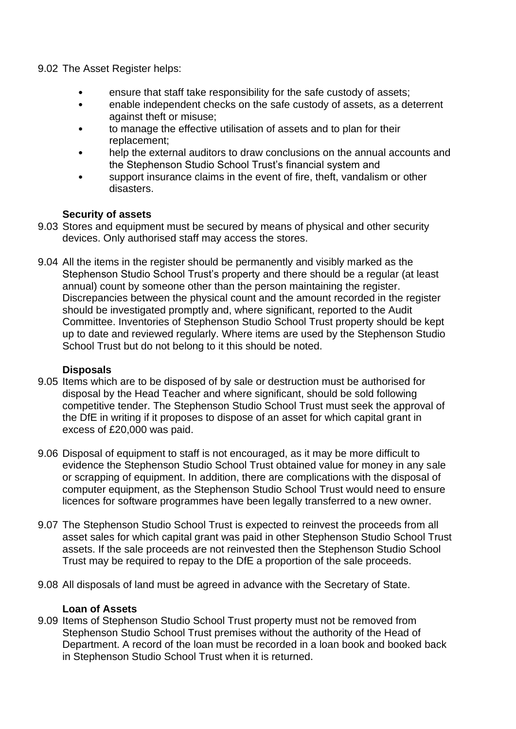9.02 The Asset Register helps:

- ensure that staff take responsibility for the safe custody of assets;
- enable independent checks on the safe custody of assets, as a deterrent against theft or misuse;
- to manage the effective utilisation of assets and to plan for their replacement;
- help the external auditors to draw conclusions on the annual accounts and the Stephenson Studio School Trust's financial system and
- support insurance claims in the event of fire, theft, vandalism or other disasters.

#### **Security of assets**

- 9.03 Stores and equipment must be secured by means of physical and other security devices. Only authorised staff may access the stores.
- 9.04 All the items in the register should be permanently and visibly marked as the Stephenson Studio School Trust's property and there should be a regular (at least annual) count by someone other than the person maintaining the register. Discrepancies between the physical count and the amount recorded in the register should be investigated promptly and, where significant, reported to the Audit Committee. Inventories of Stephenson Studio School Trust property should be kept up to date and reviewed regularly. Where items are used by the Stephenson Studio School Trust but do not belong to it this should be noted.

#### **Disposals**

- 9.05 Items which are to be disposed of by sale or destruction must be authorised for disposal by the Head Teacher and where significant, should be sold following competitive tender. The Stephenson Studio School Trust must seek the approval of the DfE in writing if it proposes to dispose of an asset for which capital grant in excess of £20,000 was paid.
- 9.06 Disposal of equipment to staff is not encouraged, as it may be more difficult to evidence the Stephenson Studio School Trust obtained value for money in any sale or scrapping of equipment. In addition, there are complications with the disposal of computer equipment, as the Stephenson Studio School Trust would need to ensure licences for software programmes have been legally transferred to a new owner.
- 9.07 The Stephenson Studio School Trust is expected to reinvest the proceeds from all asset sales for which capital grant was paid in other Stephenson Studio School Trust assets. If the sale proceeds are not reinvested then the Stephenson Studio School Trust may be required to repay to the DfE a proportion of the sale proceeds.
- 9.08 All disposals of land must be agreed in advance with the Secretary of State.

#### **Loan of Assets**

9.09 Items of Stephenson Studio School Trust property must not be removed from Stephenson Studio School Trust premises without the authority of the Head of Department. A record of the loan must be recorded in a loan book and booked back in Stephenson Studio School Trust when it is returned.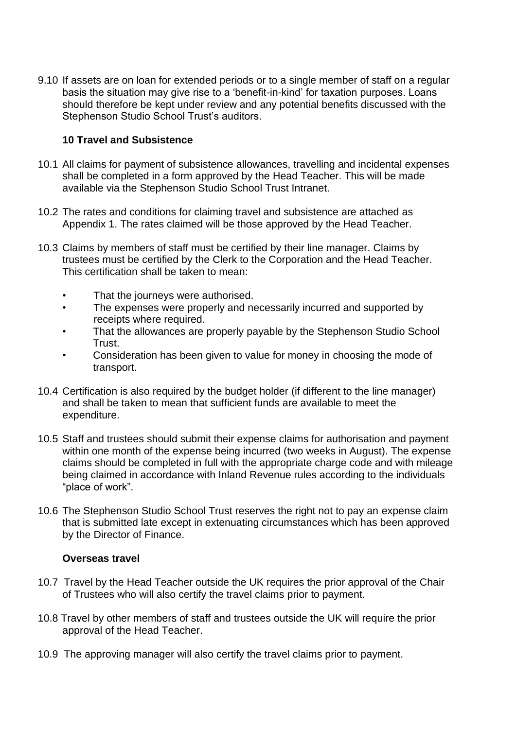9.10 If assets are on loan for extended periods or to a single member of staff on a regular basis the situation may give rise to a 'benefit-in-kind' for taxation purposes. Loans should therefore be kept under review and any potential benefits discussed with the Stephenson Studio School Trust's auditors.

#### **10 Travel and Subsistence**

- 10.1 All claims for payment of subsistence allowances, travelling and incidental expenses shall be completed in a form approved by the Head Teacher. This will be made available via the Stephenson Studio School Trust Intranet.
- 10.2 The rates and conditions for claiming travel and subsistence are attached as Appendix 1. The rates claimed will be those approved by the Head Teacher.
- 10.3 Claims by members of staff must be certified by their line manager. Claims by trustees must be certified by the Clerk to the Corporation and the Head Teacher. This certification shall be taken to mean:
	- That the journeys were authorised.
	- The expenses were properly and necessarily incurred and supported by receipts where required.
	- That the allowances are properly payable by the Stephenson Studio School Trust.
	- Consideration has been given to value for money in choosing the mode of transport.
- 10.4 Certification is also required by the budget holder (if different to the line manager) and shall be taken to mean that sufficient funds are available to meet the expenditure.
- 10.5 Staff and trustees should submit their expense claims for authorisation and payment within one month of the expense being incurred (two weeks in August). The expense claims should be completed in full with the appropriate charge code and with mileage being claimed in accordance with Inland Revenue rules according to the individuals "place of work".
- 10.6 The Stephenson Studio School Trust reserves the right not to pay an expense claim that is submitted late except in extenuating circumstances which has been approved by the Director of Finance.

#### **Overseas travel**

- 10.7 Travel by the Head Teacher outside the UK requires the prior approval of the Chair of Trustees who will also certify the travel claims prior to payment.
- 10.8 Travel by other members of staff and trustees outside the UK will require the prior approval of the Head Teacher.
- 10.9 The approving manager will also certify the travel claims prior to payment.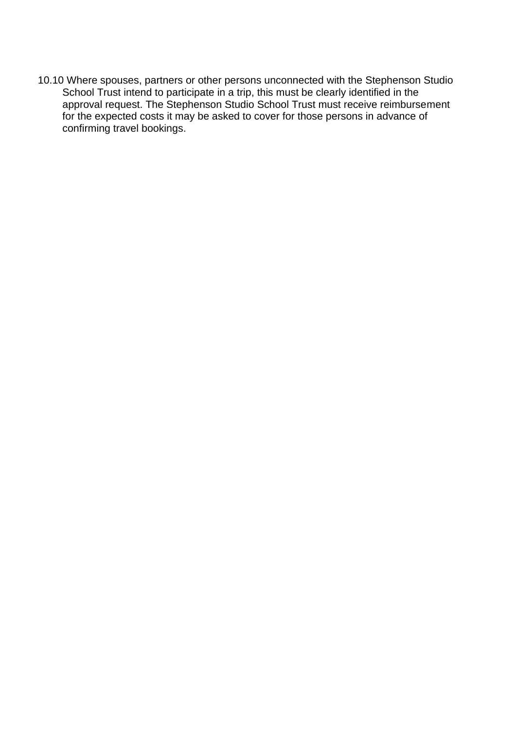10.10 Where spouses, partners or other persons unconnected with the Stephenson Studio School Trust intend to participate in a trip, this must be clearly identified in the approval request. The Stephenson Studio School Trust must receive reimbursement for the expected costs it may be asked to cover for those persons in advance of confirming travel bookings.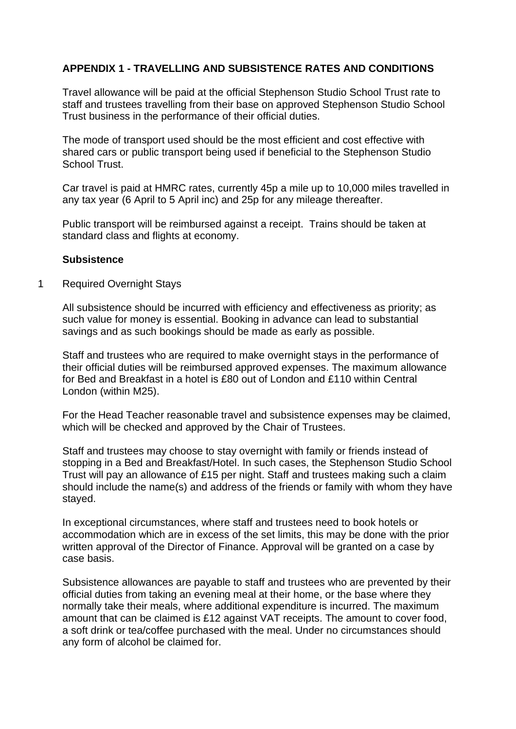# **APPENDIX 1 - TRAVELLING AND SUBSISTENCE RATES AND CONDITIONS**

Travel allowance will be paid at the official Stephenson Studio School Trust rate to staff and trustees travelling from their base on approved Stephenson Studio School Trust business in the performance of their official duties.

The mode of transport used should be the most efficient and cost effective with shared cars or public transport being used if beneficial to the Stephenson Studio School Trust.

Car travel is paid at HMRC rates, currently 45p a mile up to 10,000 miles travelled in any tax year (6 April to 5 April inc) and 25p for any mileage thereafter.

Public transport will be reimbursed against a receipt. Trains should be taken at standard class and flights at economy.

#### **Subsistence**

1 Required Overnight Stays

All subsistence should be incurred with efficiency and effectiveness as priority; as such value for money is essential. Booking in advance can lead to substantial savings and as such bookings should be made as early as possible.

Staff and trustees who are required to make overnight stays in the performance of their official duties will be reimbursed approved expenses. The maximum allowance for Bed and Breakfast in a hotel is £80 out of London and £110 within Central London (within M25).

For the Head Teacher reasonable travel and subsistence expenses may be claimed, which will be checked and approved by the Chair of Trustees.

Staff and trustees may choose to stay overnight with family or friends instead of stopping in a Bed and Breakfast/Hotel. In such cases, the Stephenson Studio School Trust will pay an allowance of £15 per night. Staff and trustees making such a claim should include the name(s) and address of the friends or family with whom they have stayed.

In exceptional circumstances, where staff and trustees need to book hotels or accommodation which are in excess of the set limits, this may be done with the prior written approval of the Director of Finance. Approval will be granted on a case by case basis.

Subsistence allowances are payable to staff and trustees who are prevented by their official duties from taking an evening meal at their home, or the base where they normally take their meals, where additional expenditure is incurred. The maximum amount that can be claimed is £12 against VAT receipts. The amount to cover food, a soft drink or tea/coffee purchased with the meal. Under no circumstances should any form of alcohol be claimed for.